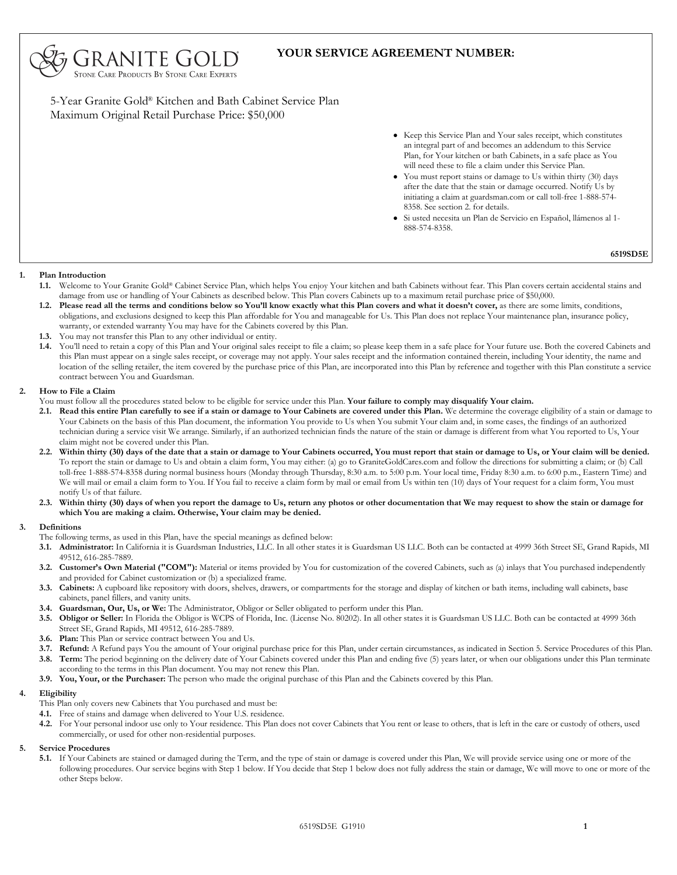

5-Year Granite Gold® Kitchen and Bath Cabinet Service Plan Maximum Original Retail Purchase Price: \$50,000

5, Granite Gold **STONE CARE PRODUCTS BY STONE CARE EXPERTS** 

- Keep this Service Plan and Your sales receipt, which constitutes an integral part of and becomes an addendum to this Service Plan, for Your kitchen or bath Cabinets, in a safe place as You will need these to file a claim under this Service Plan.
- You must report stains or damage to Us within thirty (30) days after the date that the stain or damage occurred. Notify Us by initiating a claim at guardsman.com or call toll-free 1-888-574- 8358. See section 2. for details.
- Si usted necesita un Plan de Servicio en Español, llámenos al 1- 888-574-8358. •

**6519SD5E**

## **1. Plan Introduction**

- Welcome to Your Granite Gold® Cabinet Service Plan, which helps You enjoy Your kitchen and bath Cabinets without fear. This Plan covers certain accidental stains and damage from use or handling of Your Cabinets as described below. This Plan covers Cabinets up to a maximum retail purchase price of \$50,000. **1.1.**
- **Please read all the terms and conditions below so You'll know exactly what this Plan covers and what it doesn't cover,** as there are some limits, conditions, **1.2.** obligations, and exclusions designed to keep this Plan affordable for You and manageable for Us. This Plan does not replace Your maintenance plan, insurance policy, warranty, or extended warranty You may have for the Cabinets covered by this Plan.
- **1.3.** You may not transfer this Plan to any other individual or entity.
- 1.4. You'll need to retain a copy of this Plan and Your original sales receipt to file a claim; so please keep them in a safe place for Your future use. Both the covered Cabinets and this Plan must appear on a single sales receipt, or coverage may not apply. Your sales receipt and the information contained therein, including Your identity, the name and location of the selling retailer, the item covered by the purchase price of this Plan, are incorporated into this Plan by reference and together with this Plan constitute a service contract between You and Guardsman.

### **How to File a Claim 2.**

- You must follow all the procedures stated below to be eligible for service under this Plan. **Your failure to comply may disqualify Your claim.**
- 2.1. Read this entire Plan carefully to see if a stain or damage to Your Cabinets are covered under this Plan. We determine the coverage eligibility of a stain or damage to Your Cabinets on the basis of this Plan document, the information You provide to Us when You submit Your claim and, in some cases, the findings of an authorized technician during a service visit We arrange. Similarly, if an authorized technician finds the nature of the stain or damage is different from what You reported to Us, Your claim might not be covered under this Plan.
- **Within thirty (30) days of the date that a stain or damage to Your Cabinets occurred, You must report that stain or damage to Us, or Your claim will be denied. 2.2.** To report the stain or damage to Us and obtain a claim form, You may either: (a) go to GraniteGoldCares.com and follow the directions for submitting a claim; or (b) Call toll-free 1-888-574-8358 during normal business hours (Monday through Thursday, 8:30 a.m. to 5:00 p.m. Your local time, Friday 8:30 a.m. to 6:00 p.m., Eastern Time) and We will mail or email a claim form to You. If You fail to receive a claim form by mail or email from Us within ten (10) days of Your request for a claim form, You must notify Us of that failure.
- **Within thirty (30) days of when you report the damage to Us, return any photos or other documentation that We may request to show the stain or damage for which You are making a claim. Otherwise, Your claim may be denied. 2.3.**

### **Definitions 3.**

- The following terms, as used in this Plan, have the special meanings as defined below:
- **Administrator:** In California it is Guardsman Industries, LLC. In all other states it is Guardsman US LLC. Both can be contacted at 4999 36th Street SE, Grand Rapids, MI **3.1.** 49512, 616-285-7889.
- **Customer's Own Material ("COM"):** Material or items provided by You for customization of the covered Cabinets, such as (a) inlays that You purchased independently **3.2.** and provided for Cabinet customization or (b) a specialized frame.
- **Cabinets:** A cupboard like repository with doors, shelves, drawers, or compartments for the storage and display of kitchen or bath items, including wall cabinets, base **3.3.** cabinets, panel fillers, and vanity units.
- **3.4. Guardsman, Our, Us, or We:** The Administrator, Obligor or Seller obligated to perform under this Plan.
- **Obligor or Seller:** In Florida the Obligor is WCPS of Florida, Inc. (License No. 80202). In all other states it is Guardsman US LLC. Both can be contacted at 4999 36th **3.5.** Street SE, Grand Rapids, MI 49512, 616-285-7889.
- **3.6. Plan:** This Plan or service contract between You and Us.
- **3.7. Refund:** A Refund pays You the amount of Your original purchase price for this Plan, under certain circumstances, as indicated in Section 5. Service Procedures of this Plan. **Term:** The period beginning on the delivery date of Your Cabinets covered under this Plan and ending five (5) years later, or when our obligations under this Plan terminate **3.8.** according to the terms in this Plan document. You may not renew this Plan.
- **3.9. You, Your, or the Purchaser:** The person who made the original purchase of this Plan and the Cabinets covered by this Plan.

### **Eligibility 4.**

- This Plan only covers new Cabinets that You purchased and must be:
- **4.1.** Free of stains and damage when delivered to Your U.S. residence.
- For Your personal indoor use only to Your residence. This Plan does not cover Cabinets that You rent or lease to others, that is left in the care or custody of others, used commercially, or used for other non-residential purposes. **4.2.**
- **5. Service Procedures**
	- 5.1. If Your Cabinets are stained or damaged during the Term, and the type of stain or damage is covered under this Plan, We will provide service using one or more of the following procedures. Our service begins with Step 1 below. If You decide that Step 1 below does not fully address the stain or damage, We will move to one or more of the other Steps below.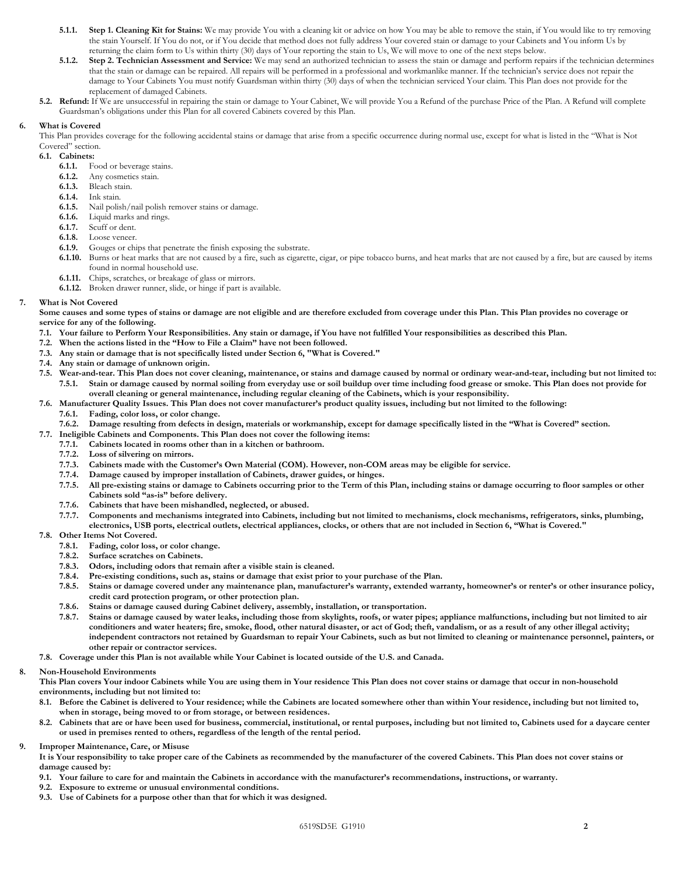- **5.1.1. Step 1. Cleaning Kit for Stains:** We may provide You with a cleaning kit or advice on how You may be able to remove the stain, if You would like to try removing the stain Yourself. If You do not, or if You decide that method does not fully address Your covered stain or damage to your Cabinets and You inform Us by returning the claim form to Us within thirty (30) days of Your reporting the stain to Us, We will move to one of the next steps below.
- **5.1.2. Step 2. Technician Assessment and Service:** We may send an authorized technician to assess the stain or damage and perform repairs if the technician determines that the stain or damage can be repaired. All repairs will be performed in a professional and workmanlike manner. If the technician's service does not repair the damage to Your Cabinets You must notify Guardsman within thirty (30) days of when the technician serviced Your claim. This Plan does not provide for the replacement of damaged Cabinets.
- **Refund:** If We are unsuccessful in repairing the stain or damage to Your Cabinet, We will provide You a Refund of the purchase Price of the Plan. A Refund will complete **5.2.** Guardsman's obligations under this Plan for all covered Cabinets covered by this Plan.

### **What is Covered 6.**

This Plan provides coverage for the following accidental stains or damage that arise from a specific occurrence during normal use, except for what is listed in the "What is Not Covered" section.

**6.1. Cabinets:**

- **6.1.1.** Food or beverage stains.
- **6.1.2.** Any cosmetics stain.
- **6.1.3.** Bleach stain.
- **6.1.4.** Ink stain.
- **6.1.5.** Nail polish/nail polish remover stains or damage.
- **6.1.6.** Liquid marks and rings.
- **6.1.7.** Scuff or dent.
- **6.1.8.** Loose veneer.
- **6.1.9.** Gouges or chips that penetrate the finish exposing the substrate.
- **6.1.10.** Burns or heat marks that are not caused by a fire, such as cigarette, cigar, or pipe tobacco burns, and heat marks that are not caused by a fire, but are caused by items found in normal household use.
- **6.1.11.** Chips, scratches, or breakage of glass or mirrors.
- **6.1.12.** Broken drawer runner, slide, or hinge if part is available.

### **What is Not Covered 7.**

**Some causes and some types of stains or damage are not eligible and are therefore excluded from coverage under this Plan. This Plan provides no coverage or service for any of the following.**

- **7.1. Your failure to Perform Your Responsibilities. Any stain or damage, if You have not fulfilled Your responsibilities as described this Plan.**
- **7.2. When the actions listed in the "How to File a Claim" have not been followed.**
- **7.3. Any stain or damage that is not specifically listed under Section 6, "What is Covered."**
- **7.4. Any stain or damage of unknown origin.**
- **7.5. Wear-and-tear. This Plan does not cover cleaning, maintenance, or stains and damage caused by normal or ordinary wear-and-tear, including but not limited to: 7.5.1. Stain or damage caused by normal soiling from everyday use or soil buildup over time including food grease or smoke. This Plan does not provide for overall cleaning or general maintenance, including regular cleaning of the Cabinets, which is your responsibility.**
- **7.6. Manufacturer Quality Issues. This Plan does not cover manufacturer's product quality issues, including but not limited to the following: 7.6.1. Fading, color loss, or color change.**
	- **7.6.2. Damage resulting from defects in design, materials or workmanship, except for damage specifically listed in the "What is Covered" section.**
- **7.7. Ineligible Cabinets and Components. This Plan does not cover the following items:**
	- **7.7.1. Cabinets located in rooms other than in a kitchen or bathroom.**
	- **7.7.2. Loss of silvering on mirrors.**
	- **7.7.3. Cabinets made with the Customer's Own Material (COM). However, non-COM areas may be eligible for service.**
	- **7.7.4. Damage caused by improper installation of Cabinets, drawer guides, or hinges.**
	- **7.7.5. All pre-existing stains or damage to Cabinets occurring prior to the Term of this Plan, including stains or damage occurring to floor samples or other Cabinets sold "as-is" before delivery.**
	- **7.7.6. Cabinets that have been mishandled, neglected, or abused.**
	- **7.7.7. Components and mechanisms integrated into Cabinets, including but not limited to mechanisms, clock mechanisms, refrigerators, sinks, plumbing, electronics, USB ports, electrical outlets, electrical appliances, clocks, or others that are not included in Section 6, "What is Covered."**

### **7.8. Other Items Not Covered.**

- **7.8.1. Fading, color loss, or color change.**
- **7.8.2. Surface scratches on Cabinets.**
- **7.8.3. Odors, including odors that remain after a visible stain is cleaned.**
- **7.8.4. Pre-existing conditions, such as, stains or damage that exist prior to your purchase of the Plan.**
- **7.8.5. Stains or damage covered under any maintenance plan, manufacturer's warranty, extended warranty, homeowner's or renter's or other insurance policy, credit card protection program, or other protection plan.**
- **7.8.6. Stains or damage caused during Cabinet delivery, assembly, installation, or transportation.**
- **7.8.7. Stains or damage caused by water leaks, including those from skylights, roofs, or water pipes; appliance malfunctions, including but not limited to air conditioners and water heaters; fire, smoke, flood, other natural disaster, or act of God; theft, vandalism, or as a result of any other illegal activity; independent contractors not retained by Guardsman to repair Your Cabinets, such as but not limited to cleaning or maintenance personnel, painters, or other repair or contractor services.**
- **7.8. Coverage under this Plan is not available while Your Cabinet is located outside of the U.S. and Canada.**

### **Non-Household Environments 8.**

- **This Plan covers Your indoor Cabinets while You are using them in Your residence This Plan does not cover stains or damage that occur in non-household environments, including but not limited to:**
- **Before the Cabinet is delivered to Your residence; while the Cabinets are located somewhere other than within Your residence, including but not limited to, 8.1. when in storage, being moved to or from storage, or between residences.**
- **Cabinets that are or have been used for business, commercial, institutional, or rental purposes, including but not limited to, Cabinets used for a daycare center or used in premises rented to others, regardless of the length of the rental period. 8.2.**
- **Improper Maintenance, Care, or Misuse 9.**
	- **It is Your responsibility to take proper care of the Cabinets as recommended by the manufacturer of the covered Cabinets. This Plan does not cover stains or damage caused by:**
	- **9.1. Your failure to care for and maintain the Cabinets in accordance with the manufacturer's recommendations, instructions, or warranty.**
	- **9.2. Exposure to extreme or unusual environmental conditions.**
	- **9.3. Use of Cabinets for a purpose other than that for which it was designed.**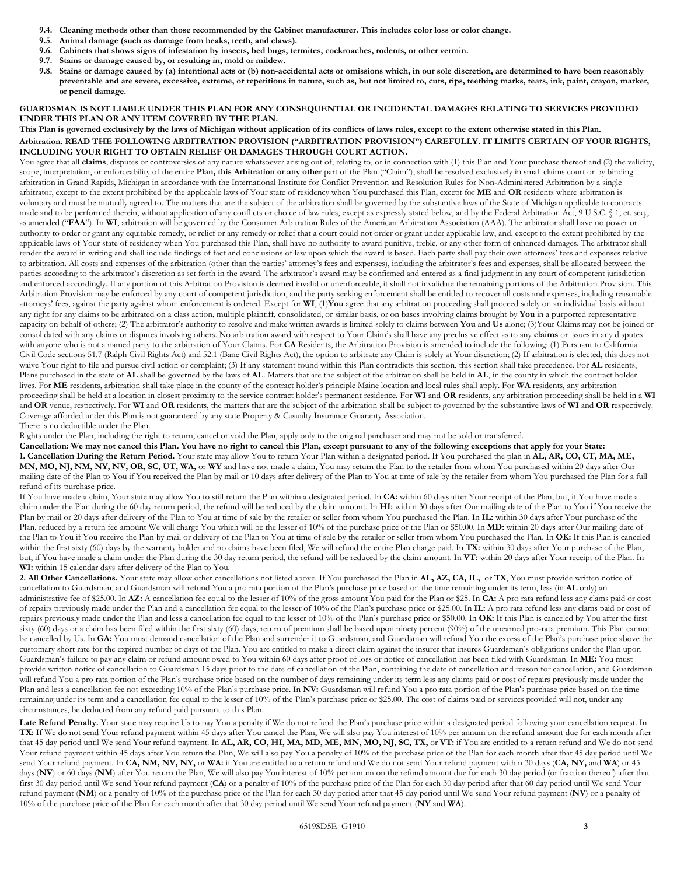- **9.4. Cleaning methods other than those recommended by the Cabinet manufacturer. This includes color loss or color change.**
- **9.5. Animal damage (such as damage from beaks, teeth, and claws).**
- **9.6. Cabinets that shows signs of infestation by insects, bed bugs, termites, cockroaches, rodents, or other vermin.**
- **9.7. Stains or damage caused by, or resulting in, mold or mildew.**
- **Stains or damage caused by (a) intentional acts or (b) non-accidental acts or omissions which, in our sole discretion, are determined to have been reasonably 9.8. preventable and are severe, excessive, extreme, or repetitious in nature, such as, but not limited to, cuts, rips, teething marks, tears, ink, paint, crayon, marker, or pencil damage.**

# **GUARDSMAN IS NOT LIABLE UNDER THIS PLAN FOR ANY CONSEQUENTIAL OR INCIDENTAL DAMAGES RELATING TO SERVICES PROVIDED UNDER THIS PLAN OR ANY ITEM COVERED BY THE PLAN.**

# **This Plan is governed exclusively by the laws of Michigan without application of its conflicts of laws rules, except to the extent otherwise stated in this Plan. Arbitration. READ THE FOLLOWING ARBITRATION PROVISION ("ARBITRATION PROVISION") CAREFULLY. IT LIMITS CERTAIN OF YOUR RIGHTS, INCLUDING YOUR RIGHT TO OBTAIN RELIEF OR DAMAGES THROUGH COURT ACTION.**

You agree that all claims, disputes or controversies of any nature whatsoever arising out of, relating to, or in connection with (1) this Plan and Your purchase thereof and (2) the validity, scope, interpretation, or enforceability of the entire **Plan, this Arbitration or any other** part of the Plan ("Claim"), shall be resolved exclusively in small claims court or by binding arbitration in Grand Rapids, Michigan in accordance with the International Institute for Conflict Prevention and Resolution Rules for Non-Administered Arbitration by a single arbitrator, except to the extent prohibited by the applicable laws of Your state of residency when You purchased this Plan, except for **ME** and **OR** residents where arbitration is voluntary and must be mutually agreed to. The matters that are the subject of the arbitration shall be governed by the substantive laws of the State of Michigan applicable to contracts made and to be performed therein, without application of any conflicts or choice of law rules, except as expressly stated below, and by the Federal Arbitration Act, 9 U.S.C. § 1, et. seq., as amended ("**FAA**"). In **WI**, arbitration will be governed by the Consumer Arbitration Rules of the American Arbitration Association (AAA). The arbitrator shall have no power or authority to order or grant any equitable remedy, or relief or any remedy or relief that a court could not order or grant under applicable law, and, except to the extent prohibited by the applicable laws of Your state of residency when You purchased this Plan, shall have no authority to award punitive, treble, or any other form of enhanced damages. The arbitrator shall render the award in writing and shall include findings of fact and conclusions of law upon which the award is based. Each party shall pay their own attorneys' fees and expenses relative to arbitration. All costs and expenses of the arbitration (other than the parties' attorney's fees and expenses), including the arbitrator's fees and expenses, shall be allocated between the parties according to the arbitrator's discretion as set forth in the award. The arbitrator's award may be confirmed and entered as a final judgment in any court of competent jurisdiction and enforced accordingly. If any portion of this Arbitration Provision is deemed invalid or unenforceable, it shall not invalidate the remaining portions of the Arbitration Provision. This Arbitration Provision may be enforced by any court of competent jurisdiction, and the party seeking enforcement shall be entitled to recover all costs and expenses, including reasonable attorneys' fees, against the party against whom enforcement is ordered. Except for **WI**, (1)**You** agree that any arbitration proceeding shall proceed solely on an individual basis without any right for any claims to be arbitrated on a class action, multiple plaintiff, consolidated, or similar basis, or on bases involving claims brought by **You** in a purported representative capacity on behalf of others; (2) The arbitrator's authority to resolve and make written awards is limited solely to claims between **You** and **Us** alone; (3)Your Claims may not be joined or consolidated with any claims or disputes involving others. No arbitration award with respect to Your Claim's shall have any preclusive effect as to any **claims** or issues in any disputes with anyone who is not a named party to the arbitration of Your Claims. For **CA** Residents, the Arbitration Provision is amended to include the following: (1) Pursuant to California Civil Code sections 51.7 (Ralph Civil Rights Act) and 52.1 (Bane Civil Rights Act), the option to arbitrate any Claim is solely at Your discretion; (2) If arbitration is elected, this does not waive Your right to file and pursue civil action or complaint; (3) If any statement found within this Plan contradicts this section, this section shall take precedence. For **AL** residents, Plans purchased in the state of **AL** shall be governed by the laws of **AL**. Matters that are the subject of the arbitration shall be held in **AL**, in the county in which the contract holder lives. For **ME** residents, arbitration shall take place in the county of the contract holder's principle Maine location and local rules shall apply. For **WA** residents, any arbitration proceeding shall be held at a location in closest proximity to the service contract holder's permanent residence. For **WI** and **OR** residents, any arbitration proceeding shall be held in a **WI** and **OR** venue, respectively. For **WI** and **OR** residents, the matters that are the subject of the arbitration shall be subject to governed by the substantive laws of **WI** and **OR** respectively. Coverage afforded under this Plan is not guaranteed by any state Property & Casualty Insurance Guaranty Association. There is no deductible under the Plan.

Rights under the Plan, including the right to return, cancel or void the Plan, apply only to the original purchaser and may not be sold or transferred.

**Cancellation: We may not cancel this Plan. You have no right to cancel this Plan, except pursuant to any of the following exceptions that apply for your State: 1. Cancellation During the Return Period.** Your state may allow You to return Your Plan within a designated period. If You purchased the plan in **AL, AR, CO, CT, MA, ME, MN, MO, NJ, NM, NY, NV, OR, SC, UT, WA,** or **WY** and have not made a claim, You may return the Plan to the retailer from whom You purchased within 20 days after Our mailing date of the Plan to You if You received the Plan by mail or 10 days after delivery of the Plan to You at time of sale by the retailer from whom You purchased the Plan for a full refund of its purchase price.

If You have made a claim, Your state may allow You to still return the Plan within a designated period. In **CA:** within 60 days after Your receipt of the Plan, but, if You have made a claim under the Plan during the 60 day return period, the refund will be reduced by the claim amount. In **HI:** within 30 days after Our mailing date of the Plan to You if You receive the Plan by mail or 20 days after delivery of the Plan to You at time of sale by the retailer or seller from whom You purchased the Plan. In IL: within 30 days after Your purchase of the Plan, reduced by a return fee amount We will charge You which will be the lesser of 10% of the purchase price of the Plan or \$50.00. In **MD:** within 20 days after Our mailing date of the Plan to You if You receive the Plan by mail or delivery of the Plan to You at time of sale by the retailer or seller from whom You purchased the Plan. In **OK:** If this Plan is canceled within the first sixty (60) days by the warranty holder and no claims have been filed, We will refund the entire Plan charge paid. In **TX:** within 30 days after Your purchase of the Plan, but, if You have made a claim under the Plan during the 30 day return period, the refund will be reduced by the claim amount. In **VT:** within 20 days after Your receipt of the Plan. In **WI:** within 15 calendar days after delivery of the Plan to You.

**2. All Other Cancellations.** Your state may allow other cancellations not listed above. If You purchased the Plan in **AL, AZ, CA, IL,** or **TX**, You must provide written notice of cancellation to Guardsman, and Guardsman will refund You a pro rata portion of the Plan's purchase price based on the time remaining under its term, less (in **AL** only) an administrative fee of \$25.00. In **AZ:** A cancellation fee equal to the lesser of 10% of the gross amount You paid for the Plan or \$25. In **CA:** A pro rata refund less any clams paid or cost of repairs previously made under the Plan and a cancellation fee equal to the lesser of 10% of the Plan's purchase price or \$25.00. In **IL:** A pro rata refund less any clams paid or cost of repairs previously made under the Plan and less a cancellation fee equal to the lesser of 10% of the Plan's purchase price or \$50.00. In **OK:** If this Plan is canceled by You after the first sixty (60) days or a claim has been filed within the first sixty (60) days, return of premium shall be based upon ninety percent (90%) of the unearned pro-rata premium. This Plan cannot be cancelled by Us. In GA: You must demand cancellation of the Plan and surrender it to Guardsman, and Guardsman will refund You the excess of the Plan's purchase price above the customary short rate for the expired number of days of the Plan. You are entitled to make a direct claim against the insurer that insures Guardsman's obligations under the Plan upon Guardsman's failure to pay any claim or refund amount owed to You within 60 days after proof of loss or notice of cancellation has been filed with Guardsman. In **ME:** You must provide written notice of cancellation to Guardsman 15 days prior to the date of cancellation of the Plan, containing the date of cancellation and reason for cancellation, and Guardsman will refund You a pro rata portion of the Plan's purchase price based on the number of days remaining under its term less any claims paid or cost of repairs previously made under the Plan and less a cancellation fee not exceeding 10% of the Plan's purchase price. In **NV:** Guardsman will refund You a pro rata portion of the Plan's purchase price based on the time remaining under its term and a cancellation fee equal to the lesser of 10% of the Plan's purchase price or \$25.00. The cost of claims paid or services provided will not, under any circumstances, be deducted from any refund paid pursuant to this Plan.

Late Refund Penalty. Your state may require Us to pay You a penalty if We do not refund the Plan's purchase price within a designated period following your cancellation request. In **TX:** If We do not send Your refund payment within 45 days after You cancel the Plan, We will also pay You interest of 10% per annum on the refund amount due for each month after that 45 day period until We send Your refund payment. In **AL, AR, CO, HI, MA, MD, ME, MN, MO, NJ, SC, TX,** or **VT:** if You are entitled to a return refund and We do not send Your refund payment within 45 days after You return the Plan, We will also pay You a penalty of 10% of the purchase price of the Plan for each month after that 45 day period until We send Your refund payment. In **CA, NM, NV, NY,** or **WA:** if You are entitled to a return refund and We do not send Your refund payment within 30 days (**CA, NY,** and **WA**) or 45 days (NV) or 60 days (NM) after You return the Plan, We will also pay You interest of 10% per annum on the refund amount due for each 30 day period (or fraction thereof) after that first 30 day period until We send Your refund payment (**CA**) or a penalty of 10% of the purchase price of the Plan for each 30 day period after that 60 day period until We send Your refund payment (**NM**) or a penalty of 10% of the purchase price of the Plan for each 30 day period after that 45 day period until We send Your refund payment (**NV**) or a penalty of 10% of the purchase price of the Plan for each month after that 30 day period until We send Your refund payment (**NY** and **WA**).